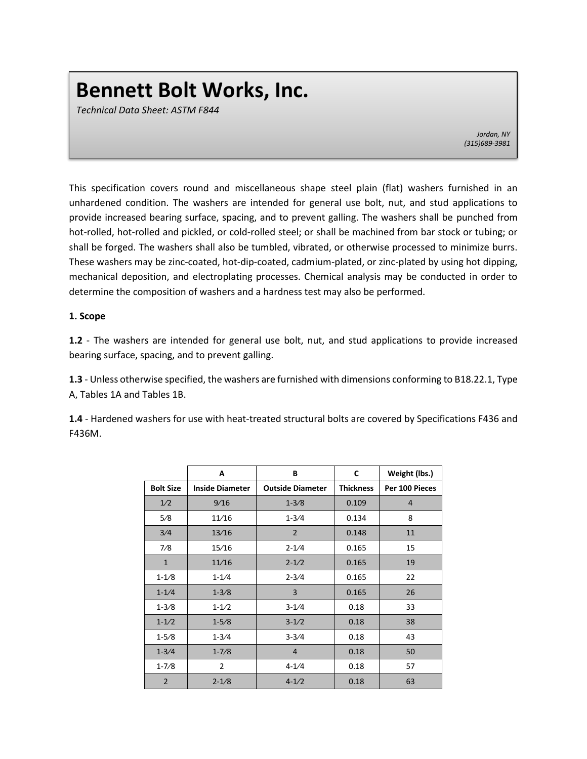## **Bennett Bolt Works, Inc.**

*Technical Data Sheet: ASTM F844*

*Jordan, NY (315)689-3981*

This specification covers round and miscellaneous shape steel plain (flat) washers furnished in an unhardened condition. The washers are intended for general use bolt, nut, and stud applications to provide increased bearing surface, spacing, and to prevent galling. The washers shall be punched from hot-rolled, hot-rolled and pickled, or cold-rolled steel; or shall be machined from bar stock or tubing; or shall be forged. The washers shall also be tumbled, vibrated, or otherwise processed to minimize burrs. These washers may be zinc-coated, hot-dip-coated, cadmium-plated, or zinc-plated by using hot dipping, mechanical deposition, and electroplating processes. Chemical analysis may be conducted in order to determine the composition of washers and a hardness test may also be performed.

## **1. Scope**

**1.2** - The washers are intended for general use bolt, nut, and stud applications to provide increased bearing surface, spacing, and to prevent galling.

**1.3** - Unless otherwise specified, the washers are furnished with dimensions conforming to B18.22.1, Type A, Tables 1A and Tables 1B.

**1.4** - Hardened washers for use with heat-treated structural bolts are covered by Specifications F436 and F436M.

|                   | A                      | В                       | C                | Weight (lbs.)  |
|-------------------|------------------------|-------------------------|------------------|----------------|
| <b>Bolt Size</b>  | <b>Inside Diameter</b> | <b>Outside Diameter</b> | <b>Thickness</b> | Per 100 Pieces |
| 1/2               | 9/16                   | $1 - 3/8$               | 0.109            | $\overline{4}$ |
| 5/8               | 11/16                  | $1 - 3/4$               | 0.134            | 8              |
| 3/4               | 13/16                  | $\overline{2}$          | 0.148            | 11             |
| 7/8               | 15/16                  | $2 - 1/4$               | 0.165            | 15             |
| $\mathbf{1}$      | 11/16                  | $2 - 1/2$               | 0.165            | 19             |
| $1 - 1/8$         | $1 - 1/4$              | $2 - 3/4$               | 0.165            | 22             |
| $1 - 1/4$         | $1 - 3/8$              | 3                       | 0.165            | 26             |
| $1 - 3/8$         | $1 - 1/2$              | $3 - 1/4$               | 0.18             | 33             |
| $1 - 1/2$         | $1 - 5/8$              | $3 - 1/2$               | 0.18             | 38             |
| $1 - 5/8$         | $1 - \frac{3}{4}$      | $3 - 3/4$               | 0.18             | 43             |
| $1 - \frac{3}{4}$ | $1 - 7/8$              | 4                       | 0.18             | 50             |
| $1 - 7/8$         | $\overline{2}$         | $4 - 1/4$               | 0.18             | 57             |
| $\overline{2}$    | $2 - 1/8$              | $4 - 1/2$               | 0.18             | 63             |